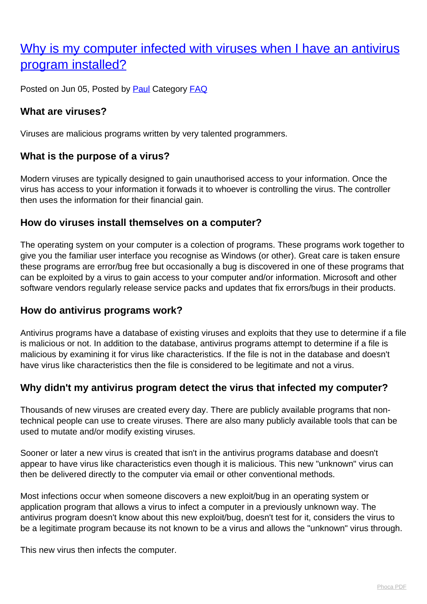# [Why is my computer infected with viruses when I have an antivirus](http://www.computerdoctor.com.au/news/why-is-my-computer-infected-with-viruses-when-i-have-an-antivirus-program-installed) [program installed?](http://www.computerdoctor.com.au/news/why-is-my-computer-infected-with-viruses-when-i-have-an-antivirus-program-installed)

Posted on Jun 05, Posted by [Paul](http://www.computerdoctor.com.au/news/blogger/listings/paul) Category [FAQ](http://www.computerdoctor.com.au/news/categories/frequently-asked-questions)

### **What are viruses?**

Viruses are malicious programs written by very talented programmers.

### **What is the purpose of a virus?**

Modern viruses are typically designed to gain unauthorised access to your information. Once the virus has access to your information it forwads it to whoever is controlling the virus. The controller then uses the information for their financial gain.

#### **How do viruses install themselves on a computer?**

The operating system on your computer is a colection of programs. These programs work together to give you the familiar user interface you recognise as Windows (or other). Great care is taken ensure these programs are error/bug free but occasionally a bug is discovered in one of these programs that can be exploited by a virus to gain access to your computer and/or information. Microsoft and other software vendors regularly release service packs and updates that fix errors/bugs in their products.

## **How do antivirus programs work?**

Antivirus programs have a database of existing viruses and exploits that they use to determine if a file is malicious or not. In addition to the database, antivirus programs attempt to determine if a file is malicious by examining it for virus like characteristics. If the file is not in the database and doesn't have virus like characteristics then the file is considered to be legitimate and not a virus.

#### **Why didn't my antivirus program detect the virus that infected my computer?**

Thousands of new viruses are created every day. There are publicly available programs that nontechnical people can use to create viruses. There are also many publicly available tools that can be used to mutate and/or modify existing viruses.

Sooner or later a new virus is created that isn't in the antivirus programs database and doesn't appear to have virus like characteristics even though it is malicious. This new "unknown" virus can then be delivered directly to the computer via email or other conventional methods.

Most infections occur when someone discovers a new exploit/bug in an operating system or application program that allows a virus to infect a computer in a previously unknown way. The antivirus program doesn't know about this new exploit/bug, doesn't test for it, considers the virus to be a legitimate program because its not known to be a virus and allows the "unknown" virus through.

This new virus then infects the computer.